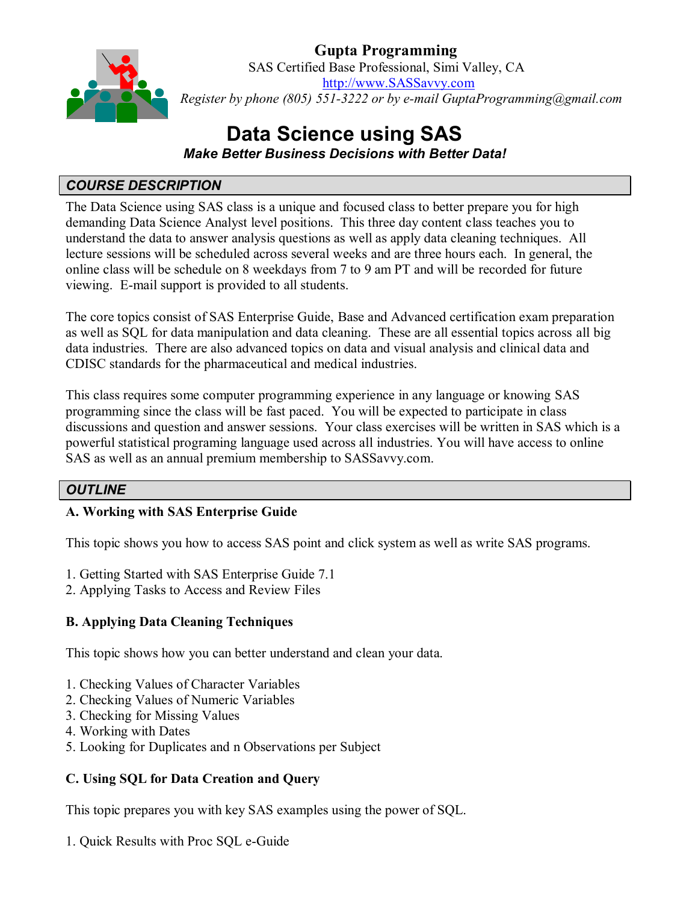

**Gupta Programming** SAS Certified Base Professional, Simi Valley, CA [http://www.SASSavvy.com](http://www.sassavvy.com/) *Register by phone (805) 551-3222 or by e-mail GuptaProgramming@gmail.com*

# **Data Science using SAS**

*Make Better Business Decisions with Better Data!*

## *COURSE DESCRIPTION*

The Data Science using SAS class is a unique and focused class to better prepare you for high demanding Data Science Analyst level positions. This three day content class teaches you to understand the data to answer analysis questions as well as apply data cleaning techniques. All lecture sessions will be scheduled across several weeks and are three hours each. In general, the online class will be schedule on 8 weekdays from 7 to 9 am PT and will be recorded for future viewing. E-mail support is provided to all students.

The core topics consist of SAS Enterprise Guide, Base and Advanced certification exam preparation as well as SQL for data manipulation and data cleaning. These are all essential topics across all big data industries. There are also advanced topics on data and visual analysis and clinical data and CDISC standards for the pharmaceutical and medical industries.

This class requires some computer programming experience in any language or knowing SAS programming since the class will be fast paced. You will be expected to participate in class discussions and question and answer sessions. Your class exercises will be written in SAS which is a powerful statistical programing language used across all industries. You will have access to online SAS as well as an annual premium membership to SASSavvy.com.

## *OUTLINE*

## **A. Working with SAS Enterprise Guide**

This topic shows you how to access SAS point and click system as well as write SAS programs.

- 1. Getting Started with SAS Enterprise Guide 7.1
- 2. Applying Tasks to Access and Review Files

## **B. Applying Data Cleaning Techniques**

This topic shows how you can better understand and clean your data.

- 1. Checking Values of Character Variables
- 2. Checking Values of Numeric Variables
- 3. Checking for Missing Values
- 4. Working with Dates
- 5. Looking for Duplicates and n Observations per Subject

#### **C. Using SQL for Data Creation and Query**

This topic prepares you with key SAS examples using the power of SQL.

1. Quick Results with Proc SQL e-Guide